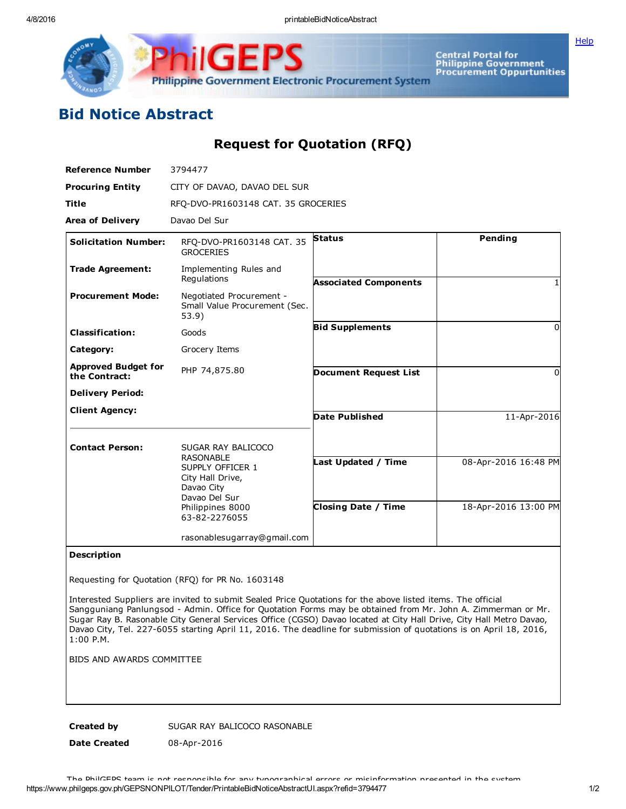**[Help](javascript:void(window.open()** 



Central Portal for<br>Philippine Government<br>Procurement Oppurtunities

## Bid Notice Abstract

## Request for Quotation (RFQ)

| <b>Reference Number</b>                     | 3794477                                                                                                                      |                              |                      |
|---------------------------------------------|------------------------------------------------------------------------------------------------------------------------------|------------------------------|----------------------|
| <b>Procuring Entity</b>                     | CITY OF DAVAO, DAVAO DEL SUR                                                                                                 |                              |                      |
| <b>Title</b>                                | RFQ-DVO-PR1603148 CAT. 35 GROCERIES                                                                                          |                              |                      |
| <b>Area of Delivery</b>                     | Davao Del Sur                                                                                                                |                              |                      |
| <b>Solicitation Number:</b>                 | RFQ-DVO-PR1603148 CAT. 35<br><b>GROCERIES</b>                                                                                | <b>Status</b>                | Pending              |
| <b>Trade Agreement:</b>                     | Implementing Rules and<br>Regulations                                                                                        | <b>Associated Components</b> |                      |
| <b>Procurement Mode:</b>                    | Negotiated Procurement -<br>Small Value Procurement (Sec.<br>53.9)                                                           |                              |                      |
| <b>Classification:</b>                      | Goods                                                                                                                        | <b>Bid Supplements</b>       | 0                    |
| Category:                                   | Grocery Items                                                                                                                |                              |                      |
| <b>Approved Budget for</b><br>the Contract: | PHP 74,875.80                                                                                                                | <b>Document Request List</b> | 0                    |
| <b>Delivery Period:</b>                     |                                                                                                                              |                              |                      |
| <b>Client Agency:</b>                       |                                                                                                                              | <b>Date Published</b>        | 11-Apr-2016          |
| <b>Contact Person:</b>                      | SUGAR RAY BALICOCO                                                                                                           |                              |                      |
|                                             | <b>RASONABLE</b><br>SUPPLY OFFICER 1<br>City Hall Drive,<br>Davao City<br>Davao Del Sur<br>Philippines 8000<br>63-82-2276055 | Last Updated / Time          | 08-Apr-2016 16:48 PM |
|                                             |                                                                                                                              | <b>Closing Date / Time</b>   | 18-Apr-2016 13:00 PM |
|                                             | rasonablesugarray@gmail.com                                                                                                  |                              |                      |
|                                             |                                                                                                                              |                              |                      |

## Description

Requesting for Quotation (RFQ) for PR No. 1603148

Interested Suppliers are invited to submit Sealed Price Quotations for the above listed items. The official Sangguniang Panlungsod Admin. Office for Quotation Forms may be obtained from Mr. John A. Zimmerman or Mr. Sugar Ray B. Rasonable City General Services Office (CGSO) Davao located at City Hall Drive, City Hall Metro Davao, Davao City, Tel. 227-6055 starting April 11, 2016. The deadline for submission of quotations is on April 18, 2016, 1:00 P.M.

BIDS AND AWARDS COMMITTEE

Created by SUGAR RAY BALICOCO RASONABLE

Date Created 08-Apr-2016